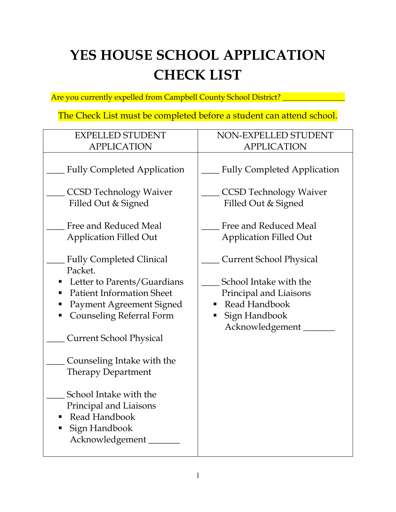# **YES HOUSE SCHOOL APPLICATION CHECK LIST**

Are you currently expelled from Campbell County School District? \_\_\_\_\_\_\_\_\_\_\_\_\_\_\_

The Check List must be completed before a student can attend school.

| <b>EXPELLED STUDENT</b>                                                                               | NON-EXPELLED STUDENT                            |
|-------------------------------------------------------------------------------------------------------|-------------------------------------------------|
| <b>APPLICATION</b>                                                                                    | <b>APPLICATION</b>                              |
| <b>Fully Completed Application</b>                                                                    | <b>Fully Completed Application</b>              |
| <b>CCSD Technology Waiver</b>                                                                         | <b>CCSD Technology Waiver</b>                   |
| Filled Out & Signed                                                                                   | Filled Out & Signed                             |
| Free and Reduced Meal<br><b>Application Filled Out</b>                                                | Free and Reduced Meal<br>Application Filled Out |
| <b>Fully Completed Clinical</b>                                                                       | <b>Current School Physical</b>                  |
| Packet.                                                                                               |                                                 |
| Letter to Parents/Guardians                                                                           | School Intake with the                          |
| <b>Patient Information Sheet</b>                                                                      | Principal and Liaisons                          |
| Payment Agreement Signed                                                                              | Read Handbook                                   |
| <b>Counseling Referral Form</b><br>п                                                                  | Sign Handbook                                   |
| <b>Current School Physical</b>                                                                        | Acknowledgement                                 |
| Counseling Intake with the                                                                            |                                                 |
| <b>Therapy Department</b>                                                                             |                                                 |
| School Intake with the<br>Principal and Liaisons<br>Read Handbook<br>Sign Handbook<br>Acknowledgement |                                                 |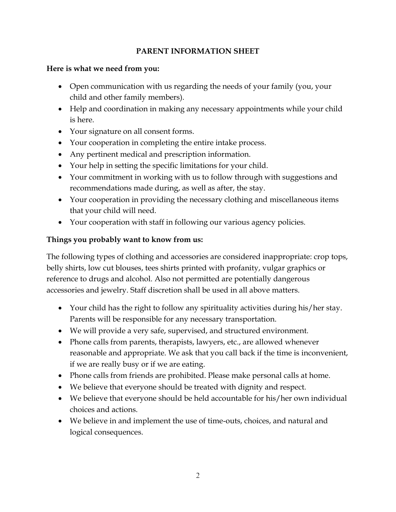#### **PARENT INFORMATION SHEET**

#### **Here is what we need from you:**

- Open communication with us regarding the needs of your family (you, your child and other family members).
- Help and coordination in making any necessary appointments while your child is here.
- Your signature on all consent forms.
- Your cooperation in completing the entire intake process.
- Any pertinent medical and prescription information.
- Your help in setting the specific limitations for your child.
- Your commitment in working with us to follow through with suggestions and recommendations made during, as well as after, the stay.
- Your cooperation in providing the necessary clothing and miscellaneous items that your child will need.
- Your cooperation with staff in following our various agency policies.

#### **Things you probably want to know from us:**

The following types of clothing and accessories are considered inappropriate: crop tops, belly shirts, low cut blouses, tees shirts printed with profanity, vulgar graphics or reference to drugs and alcohol. Also not permitted are potentially dangerous accessories and jewelry. Staff discretion shall be used in all above matters.

- Your child has the right to follow any spirituality activities during his/her stay. Parents will be responsible for any necessary transportation.
- We will provide a very safe, supervised, and structured environment.
- Phone calls from parents, therapists, lawyers, etc., are allowed whenever reasonable and appropriate. We ask that you call back if the time is inconvenient, if we are really busy or if we are eating.
- Phone calls from friends are prohibited. Please make personal calls at home.
- We believe that everyone should be treated with dignity and respect.
- We believe that everyone should be held accountable for his/her own individual choices and actions.
- We believe in and implement the use of time-outs, choices, and natural and logical consequences.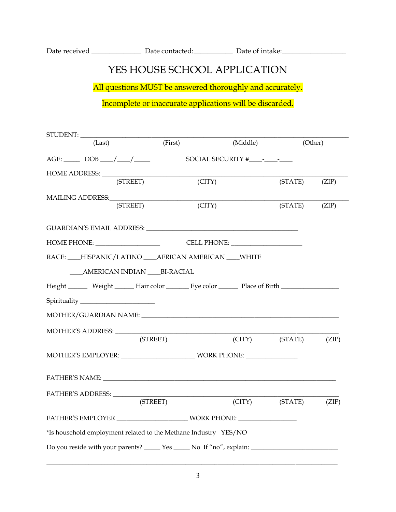| Date received | Date contacted: | Date of intake: |
|---------------|-----------------|-----------------|
|               |                 |                 |

### YES HOUSE SCHOOL APPLICATION

All questions MUST be answered thoroughly and accurately.

Incomplete or inaccurate applications will be discarded.

| STUDENT: _________                                                                                                |                              |          |                |         |
|-------------------------------------------------------------------------------------------------------------------|------------------------------|----------|----------------|---------|
| (Last)                                                                                                            | (First)                      | (Middle) |                | (Other) |
|                                                                                                                   |                              |          |                |         |
|                                                                                                                   |                              |          |                |         |
| (STREET)                                                                                                          | $\left( \text{CITY} \right)$ |          | (STATE)        | (ZIP)   |
|                                                                                                                   |                              |          |                |         |
| (STREET)                                                                                                          | $\Gamma(TTY)$                |          | (STATE)        | (ZIP)   |
|                                                                                                                   |                              |          |                |         |
|                                                                                                                   |                              |          |                |         |
| RACE: ___HISPANIC/LATINO ___ AFRICAN AMERICAN ___ WHITE                                                           |                              |          |                |         |
| ____AMERICAN INDIAN ____BI-RACIAL                                                                                 |                              |          |                |         |
| Height Weight Hair color Eye color Place of Birth New York Channel Media Hair Color River Dividend Place of Birth |                              |          |                |         |
| Spirituality _______________________                                                                              |                              |          |                |         |
|                                                                                                                   |                              |          |                |         |
|                                                                                                                   |                              |          |                |         |
|                                                                                                                   | (STREET)                     |          | (CITY) (STATE) | (ZIP)   |
|                                                                                                                   |                              |          |                |         |
| FATHER'S NAME: University of the state of the state of the state of the state of the state of the state of the    |                              |          |                |         |
| FATHER'S ADDRESS: __________                                                                                      |                              |          |                |         |
|                                                                                                                   | (STREET)                     |          | (CITY) (STATE) | (ZIP)   |
|                                                                                                                   |                              |          |                |         |
| *Is household employment related to the Methane Industry YES/NO                                                   |                              |          |                |         |
| Do you reside with your parents? _______ Yes ______ No If "no", explain: ___________________________              |                              |          |                |         |

\_\_\_\_\_\_\_\_\_\_\_\_\_\_\_\_\_\_\_\_\_\_\_\_\_\_\_\_\_\_\_\_\_\_\_\_\_\_\_\_\_\_\_\_\_\_\_\_\_\_\_\_\_\_\_\_\_\_\_\_\_\_\_\_\_\_\_\_\_\_\_\_\_\_\_\_\_\_\_\_\_\_\_\_\_\_\_\_\_\_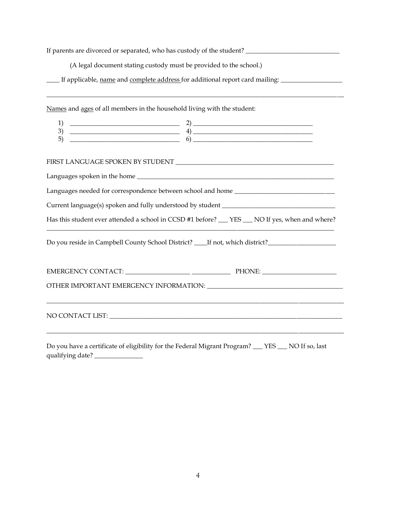If parents are divorced or separated, who has custody of the student? \_\_\_\_\_\_\_\_\_\_\_\_\_\_\_\_\_\_\_\_\_\_\_\_\_\_\_\_\_

(A legal document stating custody must be provided to the school.)

If applicable, name and complete address for additional report card mailing: \_\_\_\_\_\_\_\_\_\_\_\_\_\_\_\_\_\_\_\_\_\_\_\_\_\_\_\_\_\_\_\_\_

Names and ages of all members in the household living with the student:

| ~<br>້        |  |
|---------------|--|
| — ·<br>∽<br>ັ |  |

 $\overline{\phantom{a}}$  , and the set of the set of the set of the set of the set of the set of the set of the set of the set of the set of the set of the set of the set of the set of the set of the set of the set of the set of the s

#### FIRST LANGUAGE SPOKEN BY STUDENT \_\_\_\_\_\_\_\_\_\_\_\_\_\_\_\_\_\_\_\_\_\_\_\_\_\_\_\_\_\_\_\_\_\_\_\_\_\_\_\_\_\_\_\_\_\_\_\_\_

| Languages spoken in the home                                                                      |
|---------------------------------------------------------------------------------------------------|
| Languages needed for correspondence between school and home ____________________                  |
| Current language(s) spoken and fully understood by student ________                               |
| Has this student ever attended a school in CCSD #1 before? ___ YES ___ NO If yes, when and where? |
| If not, which district?<br>Do you reside in Campbell County School District?                      |

| PHONE: |  |
|--------|--|
|        |  |
|        |  |
|        |  |
|        |  |

Do you have a certificate of eligibility for the Federal Migrant Program? \_\_\_ YES \_\_\_ NO If so, last qualifying date? \_\_\_\_\_\_\_\_\_\_\_\_\_\_\_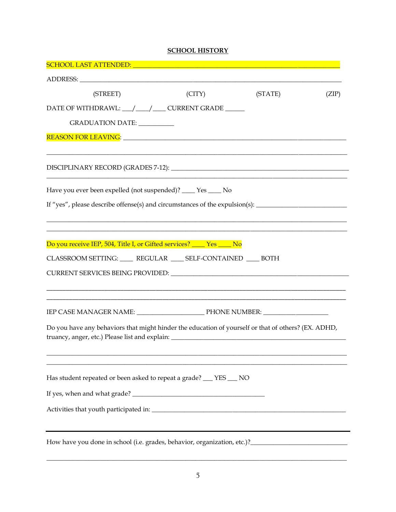#### **SCHOOL HISTORY**

| SCHOOL LAST ATTENDED: University of the SCHOOL LAST ATTENDED:                                                                                                                            |        |         |       |
|------------------------------------------------------------------------------------------------------------------------------------------------------------------------------------------|--------|---------|-------|
|                                                                                                                                                                                          |        |         |       |
| (STREET)                                                                                                                                                                                 | (CITY) | (STATE) | (ZIP) |
| DATE OF WITHDRAWL: __/ __/ __ CURRENT GRADE ____                                                                                                                                         |        |         |       |
| GRADUATION DATE: ___________                                                                                                                                                             |        |         |       |
|                                                                                                                                                                                          |        |         |       |
|                                                                                                                                                                                          |        |         |       |
| Have you ever been expelled (not suspended)? ____ Yes ____ No                                                                                                                            |        |         |       |
|                                                                                                                                                                                          |        |         |       |
|                                                                                                                                                                                          |        |         |       |
|                                                                                                                                                                                          |        |         |       |
| Do you receive IEP, 504, Title I, or Gifted services? ____ Yes ____ No                                                                                                                   |        |         |       |
| CLASSROOM SETTING: ____ REGULAR ___ SELF-CONTAINED ___ BOTH                                                                                                                              |        |         |       |
|                                                                                                                                                                                          |        |         |       |
|                                                                                                                                                                                          |        |         |       |
|                                                                                                                                                                                          |        |         |       |
|                                                                                                                                                                                          |        |         |       |
| Do you have any behaviors that might hinder the education of yourself or that of others? (EX. ADHD,<br>truancy, anger, etc.) Please list and explain: __________________________________ |        |         |       |
|                                                                                                                                                                                          |        |         |       |
|                                                                                                                                                                                          |        |         |       |
| Has student repeated or been asked to repeat a grade? __ YES __ NO                                                                                                                       |        |         |       |
|                                                                                                                                                                                          |        |         |       |
|                                                                                                                                                                                          |        |         |       |
|                                                                                                                                                                                          |        |         |       |
|                                                                                                                                                                                          |        |         |       |
|                                                                                                                                                                                          |        |         |       |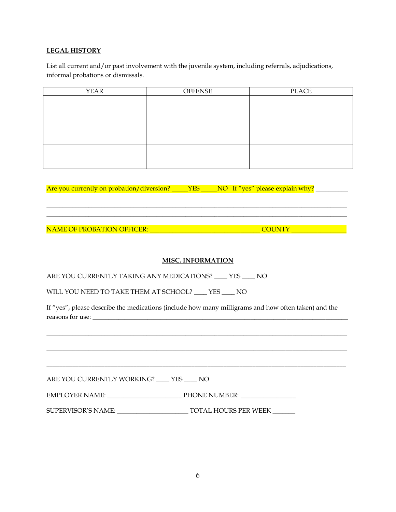#### **LEGAL HISTORY**

List all current and/or past involvement with the juvenile system, including referrals, adjudications, informal probations or dismissals.

| <b>YEAR</b> | <b>OFFENSE</b> | PLACE |
|-------------|----------------|-------|
|             |                |       |
|             |                |       |
|             |                |       |
|             |                |       |
|             |                |       |
|             |                |       |
|             |                |       |
|             |                |       |
|             |                |       |

Are you currently on probation/diversion? \_\_\_\_YES \_\_\_\_NO If "yes" please explain why? \_\_\_\_\_\_\_\_\_\_\_\_\_\_\_\_\_\_\_\_\_\_\_\_

NAME OF PROBATION OFFICER: \_\_\_\_\_\_\_\_\_\_\_\_\_\_\_\_\_\_\_\_\_\_\_\_\_\_\_\_\_\_\_\_\_\_ COUNTY \_\_\_\_\_\_\_\_\_\_\_\_\_\_\_\_\_

#### **MISC. INFORMATION**

\_\_\_\_\_\_\_\_\_\_\_\_\_\_\_\_\_\_\_\_\_\_\_\_\_\_\_\_\_\_\_\_\_\_\_\_\_\_\_\_\_\_\_\_\_\_\_\_\_\_\_\_\_\_\_\_\_\_\_\_\_\_\_\_\_\_\_\_\_\_\_\_\_\_\_\_\_\_\_\_\_\_\_\_\_\_\_\_\_\_\_\_\_  $\Box$ 

ARE YOU CURRENTLY TAKING ANY MEDICATIONS? \_\_\_\_ YES \_\_\_\_ NO

WILL YOU NEED TO TAKE THEM AT SCHOOL? \_\_\_\_ YES \_\_\_\_ NO

If "yes", please describe the medications (include how many milligrams and how often taken) and the reasons for use: \_\_\_\_\_\_\_\_\_\_\_\_\_\_\_\_\_\_\_\_\_\_\_\_\_\_\_\_\_\_\_\_\_\_\_\_\_\_\_\_\_\_\_\_\_\_\_\_\_\_\_\_\_\_\_\_\_\_\_\_\_\_\_\_\_\_\_\_\_\_\_\_\_\_\_\_\_\_\_

\_\_\_\_\_\_\_\_\_\_\_\_\_\_\_\_\_\_\_\_\_\_\_\_\_\_\_\_\_\_\_\_\_\_\_\_\_\_\_\_\_\_\_\_\_\_\_\_\_\_\_\_\_\_\_\_\_\_\_\_\_\_\_\_\_\_\_\_\_\_\_\_\_\_\_\_\_\_\_\_\_\_\_\_\_\_\_\_\_\_\_\_\_

\_\_\_\_\_\_\_\_\_\_\_\_\_\_\_\_\_\_\_\_\_\_\_\_\_\_\_\_\_\_\_\_\_\_\_\_\_\_\_\_\_\_\_\_\_\_\_\_\_\_\_\_\_\_\_\_\_\_\_\_\_\_\_\_\_\_\_\_\_\_\_\_\_\_\_\_\_\_\_\_\_\_\_\_\_\_\_\_\_\_\_\_\_

\_\_\_\_\_\_\_\_\_\_\_\_\_\_\_\_\_\_\_\_\_\_\_\_\_\_\_\_\_\_\_\_\_\_\_\_\_\_\_\_\_\_\_\_\_\_\_\_\_\_\_\_\_\_\_\_\_\_\_\_\_\_\_\_\_\_\_\_\_\_\_\_\_\_\_\_\_\_\_\_\_\_\_\_\_\_\_\_\_\_\_\_\_

ARE YOU CURRENTLY WORKING? \_\_\_\_ YES \_\_\_\_ NO

EMPLOYER NAME: \_\_\_\_\_\_\_\_\_\_\_\_\_\_\_\_\_\_\_\_\_\_\_ PHONE NUMBER: \_\_\_\_\_\_\_\_\_\_\_\_\_\_\_\_\_

SUPERVISOR'S NAME: \_\_\_\_\_\_\_\_\_\_\_\_\_\_\_\_\_\_\_\_\_\_ TOTAL HOURS PER WEEK \_\_\_\_\_\_\_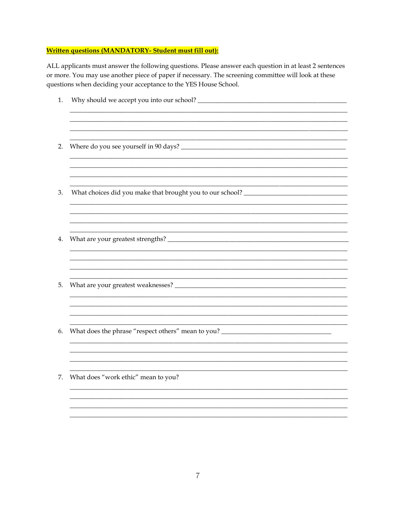#### **Written questions (MANDATORY- Student must fill out):**

ALL applicants must answer the following questions. Please answer each question in at least 2 sentences or more. You may use another piece of paper if necessary. The screening committee will look at these questions when deciding your acceptance to the YES House School.

| 1. |                                                                                   |
|----|-----------------------------------------------------------------------------------|
|    |                                                                                   |
| 2. |                                                                                   |
|    |                                                                                   |
| 3. | What choices did you make that brought you to our school? _______________________ |
|    |                                                                                   |
| 4. |                                                                                   |
|    |                                                                                   |
| 5. |                                                                                   |
|    |                                                                                   |
| 6. | What does the phrase "respect others" mean to you? ______________________________ |
|    |                                                                                   |
| 7. | What does "work ethic" mean to you?                                               |
|    |                                                                                   |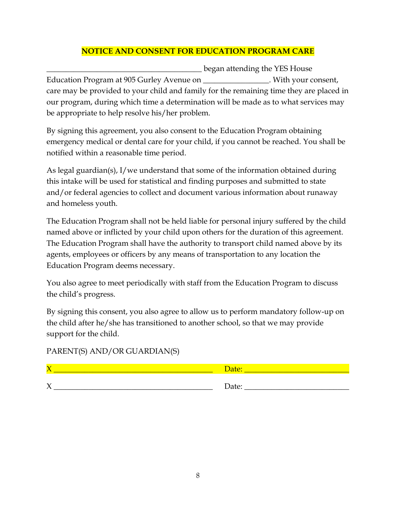#### **NOTICE AND CONSENT FOR EDUCATION PROGRAM CARE**

**\_\_\_\_\_\_\_\_\_\_\_\_\_\_\_\_\_\_\_\_\_\_\_\_\_\_\_\_\_\_\_\_\_\_\_\_\_\_\_\_** began attending the YES House Education Program at 905 Gurley Avenue on \_\_\_\_\_\_\_\_\_\_\_\_\_\_\_. With your consent, care may be provided to your child and family for the remaining time they are placed in our program, during which time a determination will be made as to what services may be appropriate to help resolve his/her problem.

By signing this agreement, you also consent to the Education Program obtaining emergency medical or dental care for your child, if you cannot be reached. You shall be notified within a reasonable time period.

As legal guardian(s), I/we understand that some of the information obtained during this intake will be used for statistical and finding purposes and submitted to state and/or federal agencies to collect and document various information about runaway and homeless youth.

The Education Program shall not be held liable for personal injury suffered by the child named above or inflicted by your child upon others for the duration of this agreement. The Education Program shall have the authority to transport child named above by its agents, employees or officers by any means of transportation to any location the Education Program deems necessary.

You also agree to meet periodically with staff from the Education Program to discuss the child's progress.

By signing this consent, you also agree to allow us to perform mandatory follow-up on the child after he/she has transitioned to another school, so that we may provide support for the child.

#### PARENT(S) AND/OR GUARDIAN(S)

| $\sqrt{ }$ | <b>Date:</b> |
|------------|--------------|
| ╱          | Date:        |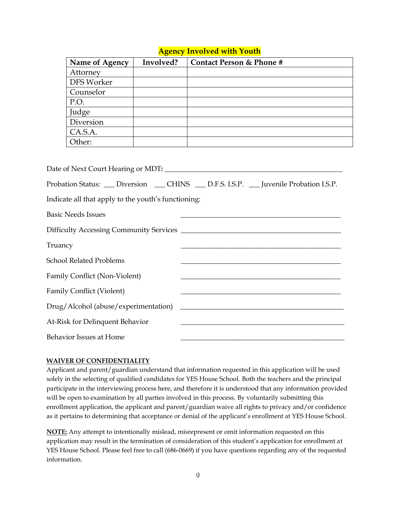#### **Agency Involved with Youth**

|         | Name of Agency                                                                   | Involved? | <b>Contact Person &amp; Phone #</b>                                                         |
|---------|----------------------------------------------------------------------------------|-----------|---------------------------------------------------------------------------------------------|
|         | Attorney                                                                         |           |                                                                                             |
|         | DFS Worker                                                                       |           |                                                                                             |
|         | Counselor                                                                        |           |                                                                                             |
|         | P.O.                                                                             |           |                                                                                             |
|         | Judge                                                                            |           |                                                                                             |
|         | Diversion                                                                        |           |                                                                                             |
|         | CA.S.A.                                                                          |           |                                                                                             |
|         | Other:                                                                           |           |                                                                                             |
|         | Indicate all that apply to the youth's functioning:<br><b>Basic Needs Issues</b> |           | Probation Status: ___ Diversion ____ CHINS ____ D.F.S. I.S.P. ___ Juvenile Probation I.S.P. |
|         |                                                                                  |           |                                                                                             |
| Truancy |                                                                                  |           |                                                                                             |
|         | <b>School Related Problems</b>                                                   |           |                                                                                             |
|         | <b>Family Conflict (Non-Violent)</b>                                             |           |                                                                                             |
|         | <b>Family Conflict (Violent)</b>                                                 |           |                                                                                             |
|         | Drug/Alcohol (abuse/experimentation)                                             |           |                                                                                             |

At-Risk for Delinquent Behavior Behavior Issues at Home

#### **WAIVER OF CONFIDENTIALITY**

Applicant and parent/guardian understand that information requested in this application will be used solely in the selecting of qualified candidates for YES House School. Both the teachers and the principal participate in the interviewing process here, and therefore it is understood that any information provided will be open to examination by all parties involved in this process. By voluntarily submitting this enrollment application, the applicant and parent/guardian waive all rights to privacy and/or confidence as it pertains to determining that acceptance or denial of the applicant's enrollment at YES House School.

**NOTE:** Any attempt to intentionally mislead, misrepresent or omit information requested on this application may result in the termination of consideration of this student's application for enrollment at YES House School. Please feel free to call (686-0669) if you have questions regarding any of the requested information.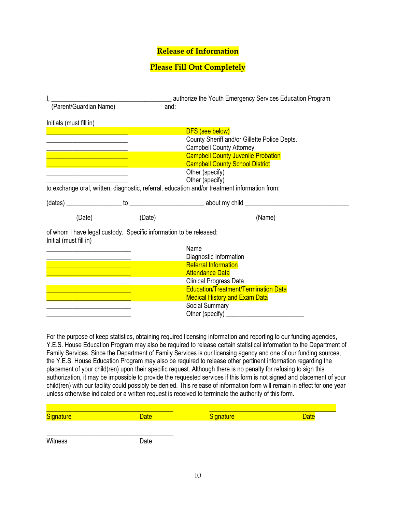#### **Release of Information**

#### **Please Fill Out Completely**

| (Parent/Guardian Name)                                                                                                                                                      | and:   | authorize the Youth Emergency Services Education Program                                      |
|-----------------------------------------------------------------------------------------------------------------------------------------------------------------------------|--------|-----------------------------------------------------------------------------------------------|
| Initials (must fill in)                                                                                                                                                     |        |                                                                                               |
|                                                                                                                                                                             |        | DFS (see below)                                                                               |
|                                                                                                                                                                             |        | County Sheriff and/or Gillette Police Depts.                                                  |
|                                                                                                                                                                             |        | <b>Campbell County Attorney</b>                                                               |
| <u> 1999 - Johann Barn, mars eta bainar eta bainar eta baina eta baina eta baina eta baina eta baina eta baina e</u>                                                        |        | <b>Campbell County Juvenile Probation</b>                                                     |
| $\mathcal{L}^{\text{max}}_{\text{max}}$ and $\mathcal{L}^{\text{max}}_{\text{max}}$ and $\mathcal{L}^{\text{max}}_{\text{max}}$ and $\mathcal{L}^{\text{max}}_{\text{max}}$ |        | <b>Campbell County School District</b>                                                        |
|                                                                                                                                                                             |        | Other (specify)                                                                               |
|                                                                                                                                                                             |        | Other (specify)                                                                               |
|                                                                                                                                                                             |        | to exchange oral, written, diagnostic, referral, education and/or treatment information from: |
|                                                                                                                                                                             |        |                                                                                               |
| (Date)                                                                                                                                                                      | (Date) | (Name)                                                                                        |
| of whom I have legal custody. Specific information to be released:<br>Initial (must fill in)                                                                                |        |                                                                                               |
|                                                                                                                                                                             |        | Name                                                                                          |
|                                                                                                                                                                             |        | Diagnostic Information                                                                        |
| $\mathcal{L}^{\text{max}}_{\text{max}}$ and $\mathcal{L}^{\text{max}}_{\text{max}}$ and $\mathcal{L}^{\text{max}}_{\text{max}}$                                             |        | <b>Referral Information</b>                                                                   |
|                                                                                                                                                                             |        | <b>Attendance Data</b>                                                                        |
|                                                                                                                                                                             |        | Clinical Progress Data                                                                        |
|                                                                                                                                                                             |        | <b>Education/Treatment/Termination Data</b>                                                   |
|                                                                                                                                                                             |        | <b>Medical History and Exam Data</b>                                                          |
|                                                                                                                                                                             |        | Social Summary                                                                                |
|                                                                                                                                                                             |        |                                                                                               |

For the purpose of keep statistics, obtaining required licensing information and reporting to our funding agencies, Y.E.S. House Education Program may also be required to release certain statistical information to the Department of Family Services. Since the Department of Family Services is our licensing agency and one of our funding sources, the Y.E.S. House Education Program may also be required to release other pertinent information regarding the placement of your child(ren) upon their specific request. Although there is no penalty for refusing to sign this authorization, it may be impossible to provide the requested services if this form is not signed and placement of your child(ren) with our facility could possibly be denied. This release of information form will remain in effect for one year unless otherwise indicated or a written request is received to terminate the authority of this form.

| <b>Signature</b> | <b>Date</b> | Signature | <b>Date</b> |
|------------------|-------------|-----------|-------------|
|                  |             |           |             |
|                  |             |           |             |

Witness Date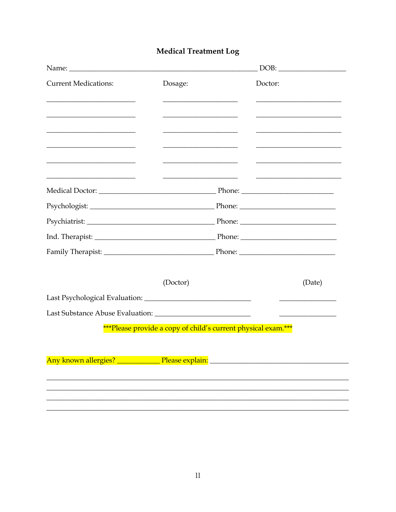## Medical Treatment Log

|                             |                                                               |         | DOB:   |
|-----------------------------|---------------------------------------------------------------|---------|--------|
| <b>Current Medications:</b> | Dosage:                                                       | Doctor: |        |
|                             |                                                               |         |        |
|                             |                                                               |         |        |
|                             |                                                               |         |        |
|                             |                                                               |         |        |
|                             |                                                               |         |        |
|                             | (Doctor)                                                      |         | (Date) |
|                             |                                                               |         |        |
|                             |                                                               |         |        |
|                             | ***Please provide a copy of child's current physical exam.*** |         |        |
|                             |                                                               |         |        |
|                             |                                                               |         |        |
|                             |                                                               |         |        |
|                             |                                                               |         |        |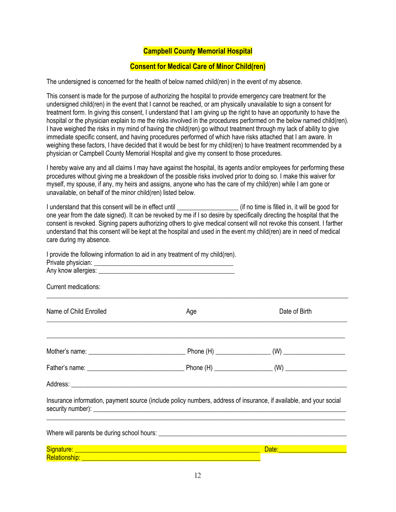#### **Campbell County Memorial Hospital**

#### **Consent for Medical Care of Minor Child(ren)**

The undersigned is concerned for the health of below named child(ren) in the event of my absence.

This consent is made for the purpose of authorizing the hospital to provide emergency care treatment for the undersigned child(ren) in the event that I cannot be reached, or am physically unavailable to sign a consent for treatment form. In giving this consent, I understand that I am giving up the right to have an opportunity to have the hospital or the physician explain to me the risks involved in the procedures performed on the below named child(ren). I have weighed the risks in my mind of having the child(ren) go without treatment through my lack of ability to give immediate specific consent, and having procedures performed of which have risks attached that I am aware. In weighing these factors, I have decided that it would be best for my child(ren) to have treatment recommended by a physician or Campbell County Memorial Hospital and give my consent to those procedures.

I hereby waive any and all claims I may have against the hospital, its agents and/or employees for performing these procedures without giving me a breakdown of the possible risks involved prior to doing so. I make this waiver for myself, my spouse, if any, my heirs and assigns, anyone who has the care of my child(ren) while I am gone or unavailable, on behalf of the minor child(ren) listed below.

I understand that this consent will be in effect until **Example 2** (if no time is filled in, it will be good for one year from the date signed). It can be revoked by me if I so desire by specifically directing the hospital that the consent is revoked. Signing papers authorizing others to give medical consent will not revoke this consent. I farther understand that this consent will be kept at the hospital and used in the event my child(ren) are in need of medical care during my absence.

| I provide the following information to aid in any treatment of my child(ren). |                                                                                                                    |                                                                                                                                                                                                                                    |
|-------------------------------------------------------------------------------|--------------------------------------------------------------------------------------------------------------------|------------------------------------------------------------------------------------------------------------------------------------------------------------------------------------------------------------------------------------|
|                                                                               |                                                                                                                    |                                                                                                                                                                                                                                    |
| Current medications:                                                          |                                                                                                                    |                                                                                                                                                                                                                                    |
| Name of Child Enrolled                                                        | Age                                                                                                                | Date of Birth                                                                                                                                                                                                                      |
|                                                                               |                                                                                                                    |                                                                                                                                                                                                                                    |
|                                                                               |                                                                                                                    |                                                                                                                                                                                                                                    |
|                                                                               |                                                                                                                    |                                                                                                                                                                                                                                    |
|                                                                               | Insurance information, payment source (include policy numbers, address of insurance, if available, and your social |                                                                                                                                                                                                                                    |
|                                                                               |                                                                                                                    |                                                                                                                                                                                                                                    |
|                                                                               |                                                                                                                    | <b>Date:</b> Date: The Contract of the Contract of the Contract of the Contract of the Contract of the Contract of the Contract of the Contract of the Contract of the Contract of the Contract of the Contract of the Contract of |
| Relationship: <u>Andrea Maria Communication and Communications</u>            |                                                                                                                    |                                                                                                                                                                                                                                    |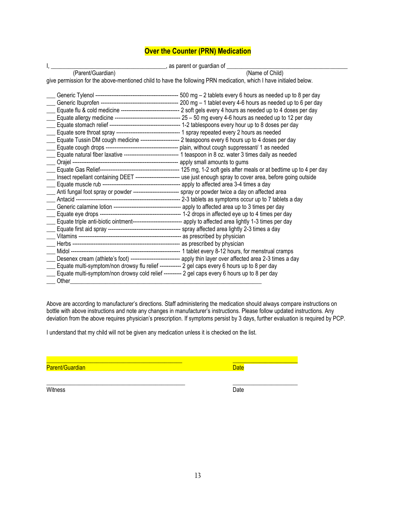#### **Over the Counter (PRN) Medication**

|                                                                                                           | Letter Letter Letter Letter Letter Letter Letter Letter Letter Letter Letter Letter Letter Letter Letter Lette                                                                                                                                                                                                                                                                                                                                                                                                                                                                                                                                                                                                             |
|-----------------------------------------------------------------------------------------------------------|----------------------------------------------------------------------------------------------------------------------------------------------------------------------------------------------------------------------------------------------------------------------------------------------------------------------------------------------------------------------------------------------------------------------------------------------------------------------------------------------------------------------------------------------------------------------------------------------------------------------------------------------------------------------------------------------------------------------------|
| (Parent/Guardian)                                                                                         | (Name of Child)                                                                                                                                                                                                                                                                                                                                                                                                                                                                                                                                                                                                                                                                                                            |
|                                                                                                           | give permission for the above-mentioned child to have the following PRN medication, which I have initialed below.                                                                                                                                                                                                                                                                                                                                                                                                                                                                                                                                                                                                          |
| _Anti fungal foot spray or powder -------------------------- spray or powder twice a day on affected area | Equate flu & cold medicine ---------------------------------- 2 soft gels every 4 hours as needed up to 4 doses per day<br>Equate Tussin DM cough medicine ---------------------- 2 teaspoons every 6 hours up to 4 doses per day<br>Equate natural fiber laxative -------------------------------- 1 teaspoon in 8 oz. water 3 times daily as needed<br>Insect repellant containing DEET -------------------------- use just enough spray to cover area, before going outside<br>Equate triple anti-biotic ointment--------------------------------- apply to affected area lightly 1-3 times per day<br>Desenex cream (athlete's foot) ----------------------------- apply thin layer over affected area 2-3 times a day |
|                                                                                                           |                                                                                                                                                                                                                                                                                                                                                                                                                                                                                                                                                                                                                                                                                                                            |
| Equate multi-symptom/non drowsy flu relief ------------ 2 gel caps every 6 hours up to 8 per day          |                                                                                                                                                                                                                                                                                                                                                                                                                                                                                                                                                                                                                                                                                                                            |
| Equate multi-symptom/non drowsy cold relief ---------- 2 gel caps every 6 hours up to 8 per day           |                                                                                                                                                                                                                                                                                                                                                                                                                                                                                                                                                                                                                                                                                                                            |
| Other                                                                                                     |                                                                                                                                                                                                                                                                                                                                                                                                                                                                                                                                                                                                                                                                                                                            |

Above are according to manufacturer's directions. Staff administering the medication should always compare instructions on bottle with above instructions and note any changes in manufacturer's instructions. Please follow updated instructions. Any deviation from the above requires physician's prescription. If symptoms persist by 3 days, further evaluation is required by PCP.

I understand that my child will not be given any medication unless it is checked on the list.

\_\_\_\_\_\_\_\_\_\_\_\_\_\_\_\_\_\_\_\_\_\_\_\_\_\_\_\_\_\_\_\_\_\_\_\_\_\_\_\_\_\_\_\_\_\_\_ \_\_\_\_\_\_\_\_\_\_\_\_\_\_\_\_\_\_\_\_\_\_

Parent/Guardian Date Communication of the Communication of the Date Date

\_\_\_\_\_\_\_\_\_\_\_\_\_\_\_\_\_\_\_\_\_\_\_\_\_\_\_\_\_\_\_\_\_\_\_\_\_\_\_\_\_\_\_\_\_\_ \_\_\_\_\_\_\_\_\_\_\_\_\_\_\_\_\_\_\_\_\_\_

Witness **Date**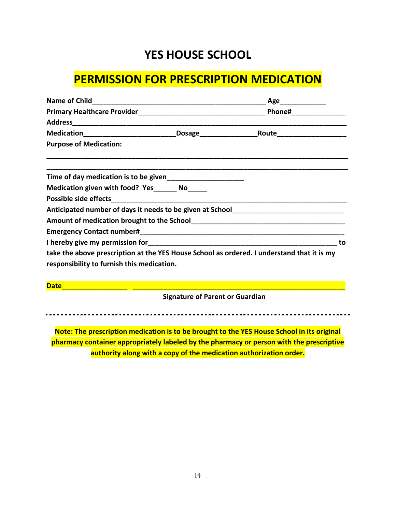## **YES HOUSE SCHOOL**

## **PERMISSION FOR PRESCRIPTION MEDICATION**

|                                                                                            |                                        | _Age_______________ |    |
|--------------------------------------------------------------------------------------------|----------------------------------------|---------------------|----|
|                                                                                            |                                        |                     |    |
|                                                                                            |                                        |                     |    |
| Medication______________________________Dosage___________________________________          |                                        |                     |    |
| <b>Purpose of Medication:</b>                                                              |                                        |                     |    |
|                                                                                            |                                        |                     |    |
| Medication given with food? Yes______ No_____                                              |                                        |                     |    |
|                                                                                            |                                        |                     |    |
| Anticipated number of days it needs to be given at School________________________          |                                        |                     |    |
|                                                                                            |                                        |                     |    |
|                                                                                            |                                        |                     |    |
|                                                                                            |                                        |                     | to |
| take the above prescription at the YES House School as ordered. I understand that it is my |                                        |                     |    |
| responsibility to furnish this medication.                                                 |                                        |                     |    |
|                                                                                            |                                        |                     |    |
|                                                                                            | <b>Signature of Parent or Guardian</b> |                     |    |

**Note: The prescription medication is to be brought to the YES House School in its original pharmacy container appropriately labeled by the pharmacy or person with the prescriptive authority along with a copy of the medication authorization order.**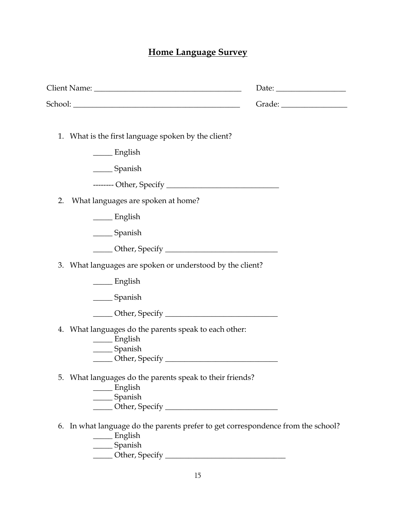## **Home Language Survey**

| Date: $\frac{1}{\sqrt{1-\frac{1}{2}}\cdot\frac{1}{2}}$ |
|--------------------------------------------------------|
|                                                        |
| What is the first language spoken by the client?       |
|                                                        |
|                                                        |
|                                                        |
|                                                        |
|                                                        |
|                                                        |
|                                                        |
| What languages are spoken or understood by the client? |
|                                                        |
|                                                        |
|                                                        |
| What languages do the parents speak to each other:     |
| What languages do the parents speak to their friends?  |
|                                                        |

- \_\_\_\_\_ English \_\_\_\_\_ Spanish
- \_\_\_\_\_ Other, Specify \_\_\_\_\_\_\_\_\_\_\_\_\_\_\_\_\_\_\_\_\_\_\_\_\_\_\_\_\_\_\_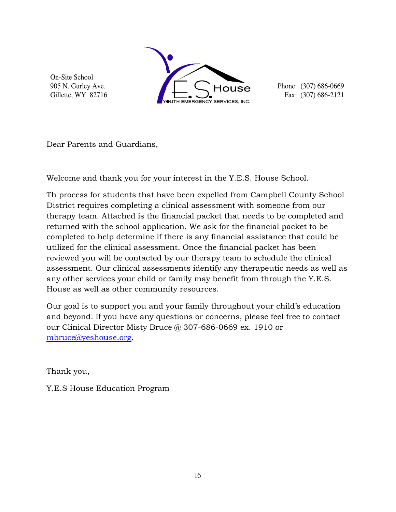On-Site School 905 N. Gurley Ave. Gillette, WY 82716



Phone: (307) 686-0669 Fax: (307) 686-2121

Dear Parents and Guardians,

Welcome and thank you for your interest in the Y.E.S. House School.

Th process for students that have been expelled from Campbell County School District requires completing a clinical assessment with someone from our therapy team. Attached is the financial packet that needs to be completed and returned with the school application. We ask for the financial packet to be completed to help determine if there is any financial assistance that could be utilized for the clinical assessment. Once the financial packet has been reviewed you will be contacted by our therapy team to schedule the clinical assessment. Our clinical assessments identify any therapeutic needs as well as any other services your child or family may benefit from through the Y.E.S. House as well as other community resources.

Our goal is to support you and your family throughout your child's education and beyond. If you have any questions or concerns, please feel free to contact our Clinical Director Misty Bruce @ 307-686-0669 ex. 1910 or [mbruce@yeshouse.org.](mailto:mbruce@yeshouse.org)

Thank you,

Y.E.S House Education Program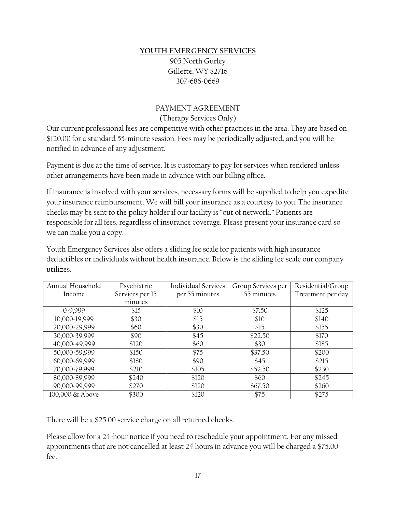#### **YOUTH EMERGENCY SERVICES**

905 North Gurley Gillette, WY 82716 307-686-0669

## PAYMENT AGREEMENT

(Therapy Services Only)

Our current professional fees are competitive with other practices in the area. They are based on \$120.00 for a standard 55-minute session. Fees may be periodically adjusted, and you will be notified in advance of any adjustment.

Payment is due at the time of service. It is customary to pay for services when rendered unless other arrangements have been made in advance with our billing office.

If insurance is involved with your services, necessary forms will be supplied to help you expedite your insurance reimbursement. We will bill your insurance as a courtesy to you. The insurance checks may be sent to the policy holder if our facility is "out of network." Patients are responsible for all fees, regardless of insurance coverage. Please present your insurance card so we can make you a copy.

Youth Emergency Services also offers a sliding fee scale for patients with high insurance deductibles or individuals without health insurance. Below is the sliding fee scale our company utilizes.

| Annual Household | Psychiatric     | <b>Individual Services</b> | Group Services per | Residential/Group |
|------------------|-----------------|----------------------------|--------------------|-------------------|
| Income           | Services per 15 | per 55 minutes             | 55 minutes         | Treatment per day |
|                  | minutes         |                            |                    |                   |
| $0-9,999$        | \$15            | \$10                       | \$7.50             | \$125             |
| 10,000-19,999    | \$30            | \$15                       | \$10               | \$140             |
| 20,000-29,999    | \$60            | \$30                       | \$15               | \$155             |
| 30,000-39,999    | \$90            | \$45                       | \$22.50            | \$170             |
| 40,000-49,999    | \$120           | \$60                       | \$30               | \$185             |
| 50,000-59,999    | \$150           | \$75                       | \$37.50            | \$200             |
| 60,000-69,999    | \$180           | \$90                       | \$45               | \$215             |
| 70,000-79,999    | \$210           | \$105                      | \$52.50            | \$230             |
| 80,000-89,999    | \$240           | \$120                      | \$60               | \$245             |
| 90,000-99,999    | \$270           | \$120                      | \$67.50            | \$260             |
| 100,000 & Above  | \$300           | \$120                      | \$75               | \$275             |

There will be a \$25.00 service charge on all returned checks.

Please allow for a 24-hour notice if you need to reschedule your appointment. For any missed appointments that are not cancelled at least 24 hours in advance you will be charged a \$75.00 fee.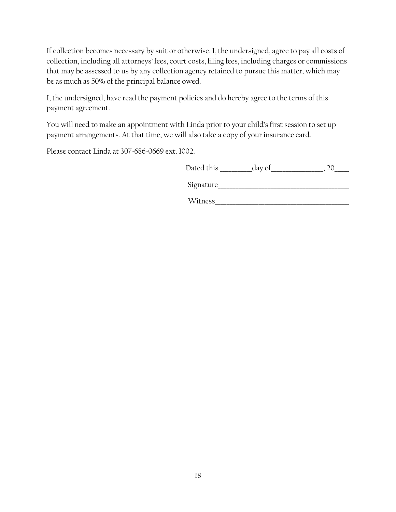If collection becomes necessary by suit or otherwise, I, the undersigned, agree to pay all costs of collection, including all attorneys' fees, court costs, filing fees, including charges or commissions that may be assessed to us by any collection agency retained to pursue this matter, which may be as much as 50% of the principal balance owed.

I, the undersigned, have read the payment policies and do hereby agree to the terms of this payment agreement.

You will need to make an appointment with Linda prior to your child's first session to set up payment arrangements. At that time, we will also take a copy of your insurance card.

Please contact Linda at 307-686-0669 ext. 1002.

| Dated this |  |
|------------|--|
|------------|--|

| Sionature |  |  |
|-----------|--|--|
|           |  |  |

Witness